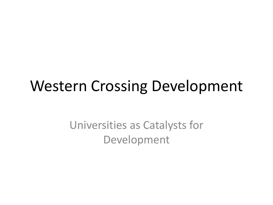### Western Crossing Development

Universities as Catalysts for Development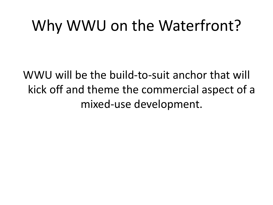### Why WWU on the Waterfront?

WWU will be the build-to-suit anchor that will kick off and theme the commercial aspect of a mixed-use development.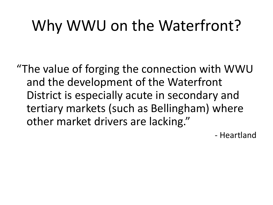# Why WWU on the Waterfront?

"The value of forging the connection with WWU and the development of the Waterfront District is especially acute in secondary and tertiary markets (such as Bellingham) where other market drivers are lacking."

- Heartland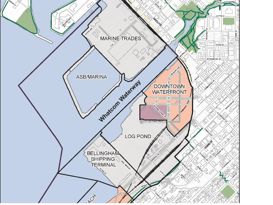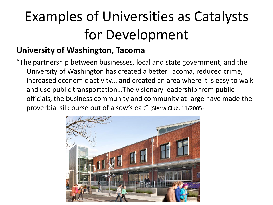## Examples of Universities as Catalysts for Development

#### **University of Washington, Tacoma**

"The partnership between businesses, local and state government, and the University of Washington has created a better Tacoma, reduced crime, increased economic activity… and created an area where it is easy to walk and use public transportation…The visionary leadership from public officials, the business community and community at-large have made the proverbial silk purse out of a sow's ear." (Sierra Club, 11/2005)

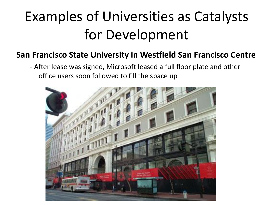### Examples of Universities as Catalysts for Development

#### **San Francisco State University in Westfield San Francisco Centre**

- After lease was signed, Microsoft leased a full floor plate and other office users soon followed to fill the space up

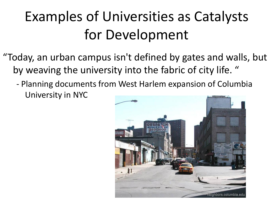### Examples of Universities as Catalysts for Development

- "Today, an urban campus isn't defined by gates and walls, but by weaving the university into the fabric of city life. "
	- Planning documents from West Harlem expansion of Columbia University in NYC

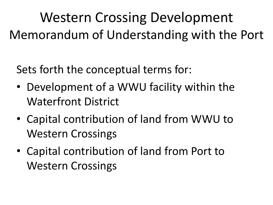Western Crossing Development Memorandum of Understanding with the Port

Sets forth the conceptual terms for:

- Development of a WWU facility within the Waterfront District
- Capital contribution of land from WWU to Western Crossings
- Capital contribution of land from Port to Western Crossings